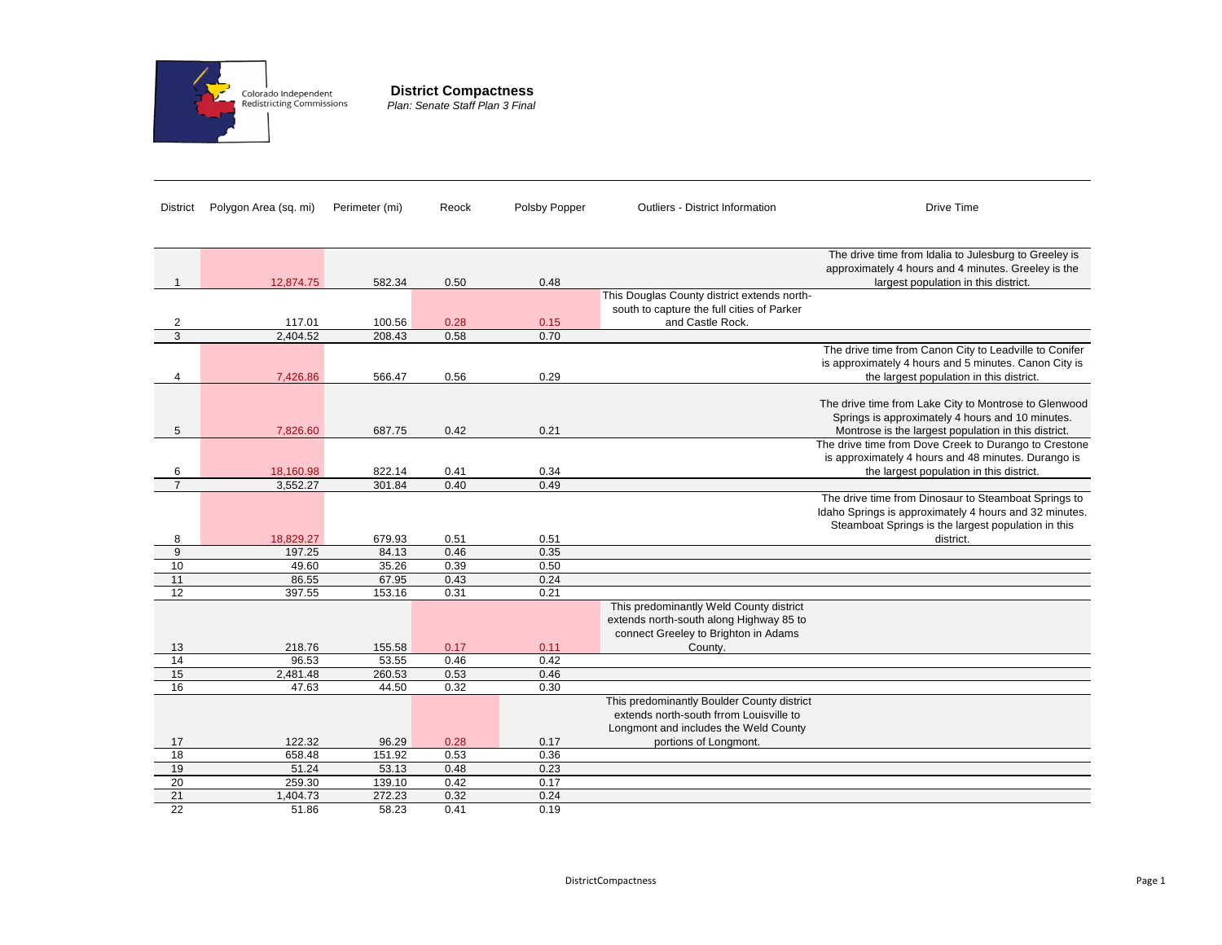

**District Compactness** *Plan: Senate Staff Plan 3 Final*

| District        | Polygon Area (sq. mi) | Perimeter (mi) | Reock | Polsby Popper | Outliers - District Information             | Drive Time                                             |
|-----------------|-----------------------|----------------|-------|---------------|---------------------------------------------|--------------------------------------------------------|
|                 |                       |                |       |               |                                             |                                                        |
|                 |                       |                |       |               |                                             |                                                        |
|                 |                       |                |       |               |                                             | The drive time from Idalia to Julesburg to Greeley is  |
|                 |                       |                |       |               |                                             | approximately 4 hours and 4 minutes. Greeley is the    |
|                 | 12,874.75             | 582.34         | 0.50  | 0.48          |                                             | largest population in this district.                   |
|                 |                       |                |       |               | This Douglas County district extends north- |                                                        |
|                 |                       |                |       |               | south to capture the full cities of Parker  |                                                        |
| 2               | 117.01                | 100.56         | 0.28  | 0.15          | and Castle Rock.                            |                                                        |
| $\overline{3}$  | 2,404.52              | 208.43         | 0.58  | 0.70          |                                             |                                                        |
|                 |                       |                |       |               |                                             | The drive time from Canon City to Leadville to Conifer |
|                 |                       |                |       |               |                                             | is approximately 4 hours and 5 minutes. Canon City is  |
| 4               | 7,426.86              | 566.47         | 0.56  | 0.29          |                                             | the largest population in this district.               |
|                 |                       |                |       |               |                                             |                                                        |
|                 |                       |                |       |               |                                             | The drive time from Lake City to Montrose to Glenwood  |
|                 |                       |                |       |               |                                             | Springs is approximately 4 hours and 10 minutes.       |
| 5               | 7,826.60              | 687.75         | 0.42  | 0.21          |                                             | Montrose is the largest population in this district.   |
|                 |                       |                |       |               |                                             | The drive time from Dove Creek to Durango to Crestone  |
|                 |                       |                |       |               |                                             | is approximately 4 hours and 48 minutes. Durango is    |
| 6               | 18,160.98             | 822.14         | 0.41  | 0.34          |                                             | the largest population in this district.               |
| $\overline{7}$  | 3,552.27              | 301.84         | 0.40  | 0.49          |                                             |                                                        |
|                 |                       |                |       |               |                                             | The drive time from Dinosaur to Steamboat Springs to   |
|                 |                       |                |       |               |                                             | Idaho Springs is approximately 4 hours and 32 minutes. |
|                 |                       |                |       |               |                                             | Steamboat Springs is the largest population in this    |
| 8               | 18,829.27             | 679.93         | 0.51  | 0.51          |                                             | district.                                              |
| 9               | 197.25                | 84.13          | 0.46  | 0.35          |                                             |                                                        |
| 10              | 49.60                 | 35.26          | 0.39  | 0.50          |                                             |                                                        |
| 11              | 86.55                 | 67.95          | 0.43  | 0.24          |                                             |                                                        |
| 12              | 397.55                | 153.16         | 0.31  | 0.21          |                                             |                                                        |
|                 |                       |                |       |               | This predominantly Weld County district     |                                                        |
|                 |                       |                |       |               | extends north-south along Highway 85 to     |                                                        |
|                 |                       |                |       |               | connect Greeley to Brighton in Adams        |                                                        |
| 13              | 218.76                | 155.58         | 0.17  | 0.11          | County.                                     |                                                        |
| 14              | 96.53                 | 53.55          | 0.46  | 0.42          |                                             |                                                        |
| 15              | 2,481.48              | 260.53         | 0.53  | 0.46          |                                             |                                                        |
| 16              | 47.63                 | 44.50          | 0.32  | 0.30          |                                             |                                                        |
|                 |                       |                |       |               | This predominantly Boulder County district  |                                                        |
|                 |                       |                |       |               | extends north-south frrom Louisville to     |                                                        |
|                 |                       |                |       |               | Longmont and includes the Weld County       |                                                        |
| 17              | 122.32                | 96.29          | 0.28  | 0.17          | portions of Longmont.                       |                                                        |
| $\overline{18}$ | 658.48                | 151.92         | 0.53  | 0.36          |                                             |                                                        |
| 19              | 51.24                 | 53.13          | 0.48  | 0.23          |                                             |                                                        |
| 20              | 259.30                | 139.10         | 0.42  | 0.17          |                                             |                                                        |
| 21              | 1,404.73              | 272.23         | 0.32  | 0.24          |                                             |                                                        |
| 22              | 51.86                 | 58.23          | 0.41  | 0.19          |                                             |                                                        |